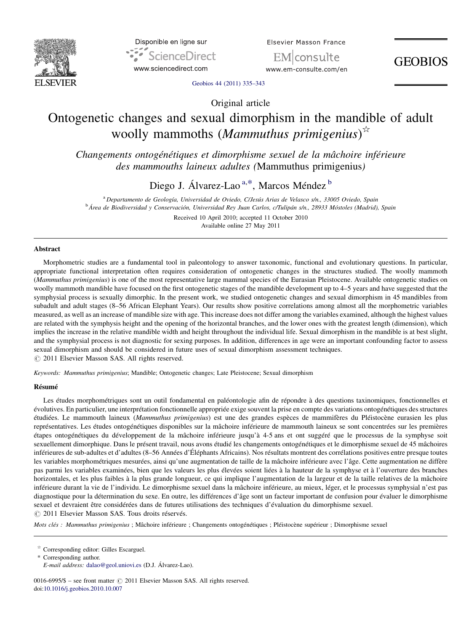



**Elsevier Masson France** 

EMIconsulte www.em-consulte.com/en

**GEOBIOS** 

[Geobios 44 \(2011\) 335](http://dx.doi.org/10.1016/j.geobios.2010.10.007)–343

Original article

# Ontogenetic changes and sexual dimorphism in the mandible of adult woolly mammoths (Mammuthus primigenius)<sup> $\propto$ </sup>

Changements ontogénétiques et dimorphisme sexuel de la mâchoire inférieure des mammouths laineux adultes (Mammuthus primigenius)

Diego J. Álvarez-Lao<sup>a,\*</sup>, Marcos Méndez <sup>b</sup>

<sup>a</sup> Departamento de Geología, Universidad de Oviedo, C/Jesús Arias de Velasco s/n., 33005 Oviedo, Spain <sup>b</sup> Área de Biodiversidad y Conservación, Universidad Rey Juan Carlos, c/Tulipán s/n., 28933 Móstoles (Madrid), Spain Received 10 April 2010; accepted 11 October 2010

Available online 27 May 2011

#### Abstract

Morphometric studies are a fundamental tool in paleontology to answer taxonomic, functional and evolutionary questions. In particular, appropriate functional interpretation often requires consideration of ontogenetic changes in the structures studied. The woolly mammoth (Mammuthus primigenius) is one of the most representative large mammal species of the Eurasian Pleistocene. Available ontogenetic studies on woolly mammoth mandible have focused on the first ontogenetic stages of the mandible development up to 4–5 years and have suggested that the symphysial process is sexually dimorphic. In the present work, we studied ontogenetic changes and sexual dimorphism in 45 mandibles from subadult and adult stages (8–56 African Elephant Years). Our results show positive correlations among almost all the morphometric variables measured, as well as an increase of mandible size with age. This increase does not differ among the variables examined, although the highest values are related with the symphysis height and the opening of the horizontal branches, and the lower ones with the greatest length (dimension), which implies the increase in the relative mandible width and height throughout the individual life. Sexual dimorphism in the mandible is at best slight, and the symphysial process is not diagnostic for sexing purposes. In addition, differences in age were an important confounding factor to assess sexual dimorphism and should be considered in future uses of sexual dimorphism assessment techniques.  $\odot$  2011 Elsevier Masson SAS. All rights reserved.

Keywords: Mammuthus primigenius; Mandible; Ontogenetic changes; Late Pleistocene; Sexual dimorphism

#### Résumé

Les études morphométriques sont un outil fondamental en paléontologie afin de répondre à des questions taxinomiques, fonctionnelles et évolutives. En particulier, une interprétation fonctionnelle appropriée exige souvent la prise en compte des variations ontogénétiques des structures étudiées. Le mammouth laineux (Mammuthus primigenius) est une des grandes espèces de mammifères du Pléistocène eurasien les plus représentatives. Les études ontogénétiques disponibles sur la mâchoire inférieure de mammouth laineux se sont concentrées sur les premières étapes ontogénétiques du développement de la mâchoire inférieure jusqu'à 4-5 ans et ont suggéré que le processus de la symphyse soit sexuellement dimorphique. Dans le présent travail, nous avons étudié les changements ontogénétiques et le dimorphisme sexuel de 45 mâchoires inférieures de sub-adultes et d'adultes (8–56 Années d'Éléphants Africains). Nos résultats montrent des corrélations positives entre presque toutes les variables morphométriques mesurées, ainsi qu'une augmentation de taille de la mâchoire inférieure avec l'âge. Cette augmentation ne diffère pas parmi les variables examinées, bien que les valeurs les plus élevées soient liées à la hauteur de la symphyse et à l'ouverture des branches horizontales, et les plus faibles à la plus grande longueur, ce qui implique l'augmentation de la largeur et de la taille relatives de la mâchoire inférieure durant la vie de l'individu. Le dimorphisme sexuel dans la mâchoire inférieure, au mieux, léger, et le processus symphysial n'est pas diagnostique pour la détermination du sexe. En outre, les différences d'âge sont un facteur important de confusion pour évaluer le dimorphisme sexuel et devraient être considérées dans de futures utilisations des techniques d'évaluation du dimorphisme sexuel.  $\circ$  2011 Elsevier Masson SAS. Tous droits réservés.

Mots clés : Mammuthus primigenius ; Mâchoire inférieure ; Changements ontogénétiques ; Pléistocène supérieur ; Dimorphisme sexuel

Corresponding author.

E-mail address: [dalao@geol.uniovi.es](mailto:dalao@geol.uniovi.es) (D.J. Álvarez-Lao).

0016-6995/\$ – see front matter  $\odot$  2011 Elsevier Masson SAS. All rights reserved. doi:[10.1016/j.geobios.2010.10.007](http://dx.doi.org/10.1016/j.geobios.2010.10.007)

 $\stackrel{\scriptscriptstyle{\triangle}}{ }$  Corresponding editor: Gilles Escarguel.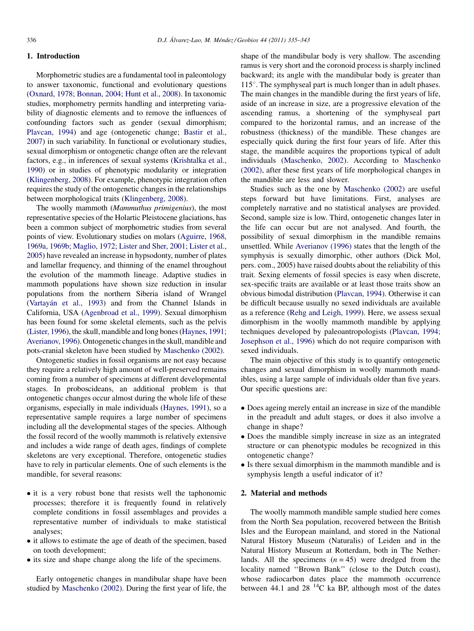## 1. Introduction

Morphometric studies are a fundamental tool in paleontology to answer taxonomic, functional and evolutionary questions ([Oxnard, 1978; Bonnan, 2004; Hunt et al., 2008\)](#page-8-0). In taxonomic studies, morphometry permits handling and interpreting variability of diagnostic elements and to remove the influences of confounding factors such as gender (sexual dimorphism; [Plavcan, 1994](#page-8-0)) and age (ontogenetic change; [Bastir et al.,](#page-8-0) [2007](#page-8-0)) in such variability. In functional or evolutionary studies, sexual dimorphism or ontogenetic change often are the relevant factors, e.g., in inferences of sexual systems [\(Krishtalka et al.,](#page-8-0) [1990](#page-8-0)) or in studies of phenotypic modularity or integration ([Klingenberg, 2008\)](#page-8-0). For example, phenotypic integration often requires the study of the ontogenetic changes in the relationships between morphological traits [\(Klingenberg, 2008\)](#page-8-0).

The woolly mammoth (Mammuthus primigenius), the most representative species of the Holartic Pleistocene glaciations, has been a common subject of morphometric studies from several points of view. Evolutionary studies on molars ([Aguirre, 1968,](#page-8-0) [1969a, 1969b; Maglio, 1972; Lister and Sher, 2001; Lister et al.,](#page-8-0) [2005](#page-8-0)) have revealed an increase in hypsodonty, number of plates and lamellar frequency, and thinning of the enamel throughout the evolution of the mammoth lineage. Adaptive studies in mammoth populations have shown size reduction in insular populations from the northern Siberia island of Wrangel ([Vartayán et al., 1993\)](#page-8-0) and from the Channel Islands in California, USA ([Agenbroad et al., 1999](#page-8-0)). Sexual dimorphism has been found for some skeletal elements, such as the pelvis ([Lister, 1996](#page-8-0)), the skull, mandible and long bones ([Haynes, 1991;](#page-8-0) [Averianov, 1996](#page-8-0)). Ontogenetic changes in the skull, mandible and pots-cranial skeleton have been studied by [Maschenko \(2002\).](#page-8-0)

Ontogenetic studies in fossil organisms are not easy because they require a relatively high amount of well-preserved remains coming from a number of specimens at different developmental stages. In proboscideans, an additional problem is that ontogenetic changes occur almost during the whole life of these organisms, especially in male individuals [\(Haynes, 1991\)](#page-8-0), so a representative sample requires a large number of specimens including all the developmental stages of the species. Although the fossil record of the woolly mammoth is relatively extensive and includes a wide range of death ages, findings of complete skeletons are very exceptional. Therefore, ontogenetic studies have to rely in particular elements. One of such elements is the mandible, for several reasons:

- it is a very robust bone that resists well the taphonomic processes; therefore it is frequently found in relatively complete conditions in fossil assemblages and provides a representative number of individuals to make statistical analyses;
- it allows to estimate the age of death of the specimen, based on tooth development;
- its size and shape change along the life of the specimens.

Early ontogenetic changes in mandibular shape have been studied by [Maschenko \(2002\)](#page-8-0). During the first year of life, the shape of the mandibular body is very shallow. The ascending ramus is very short and the coronoid process is sharply inclined backward; its angle with the mandibular body is greater than  $115^\circ$ . The symphyseal part is much longer than in adult phases. The main changes in the mandible during the first years of life, aside of an increase in size, are a progressive elevation of the ascending ramus, a shortening of the symphyseal part compared to the horizontal ramus, and an increase of the robustness (thickness) of the mandible. These changes are especially quick during the first four years of life. After this stage, the mandible acquires the proportions typical of adult individuals ([Maschenko, 2002](#page-8-0)). According to [Maschenko](#page-8-0) [\(2002\)](#page-8-0), after these first years of life morphological changes in the mandible are less and slower.

Studies such as the one by [Maschenko \(2002\)](#page-8-0) are useful steps forward but have limitations. First, analyses are completely narrative and no statistical analyses are provided. Second, sample size is low. Third, ontogenetic changes later in the life can occur but are not analysed. And fourth, the possibility of sexual dimorphism in the mandible remains unsettled. While [Averianov \(1996\)](#page-8-0) states that the length of the symphysis is sexually dimorphic, other authors (Dick Mol, pers. com., 2005) have raised doubts about the reliability of this trait. Sexing elements of fossil species is easy when discrete, sex-specific traits are available or at least those traits show an obvious bimodal distribution ([Plavcan, 1994](#page-8-0)). Otherwise it can be difficult because usually no sexed individuals are available as a reference [\(Rehg and Leigh, 1999\)](#page-8-0). Here, we assess sexual dimorphism in the woolly mammoth mandible by applying techniques developed by paleoantropologists [\(Plavcan, 1994;](#page-8-0) [Josephson et al., 1996](#page-8-0)) which do not require comparison with sexed individuals.

The main objective of this study is to quantify ontogenetic changes and sexual dimorphism in woolly mammoth mandibles, using a large sample of individuals older than five years. Our specific questions are:

- Does ageing merely entail an increase in size of the mandible in the preadult and adult stages, or does it also involve a change in shape?
- Does the mandible simply increase in size as an integrated structure or can phenotypic modules be recognized in this ontogenetic change?
- Is there sexual dimorphism in the mammoth mandible and is symphysis length a useful indicator of it?

## 2. Material and methods

The woolly mammoth mandible sample studied here comes from the North Sea population, recovered between the British Isles and the European mainland, and stored in the National Natural History Museum (Naturalis) of Leiden and in the Natural History Museum at Rotterdam, both in The Netherlands. All the specimens  $(n = 45)$  were dredged from the locality named ''Brown Bank'' (close to the Dutch coast), whose radiocarbon dates place the mammoth occurrence between 44.1 and 28<sup> $14$ </sup>C ka BP, although most of the dates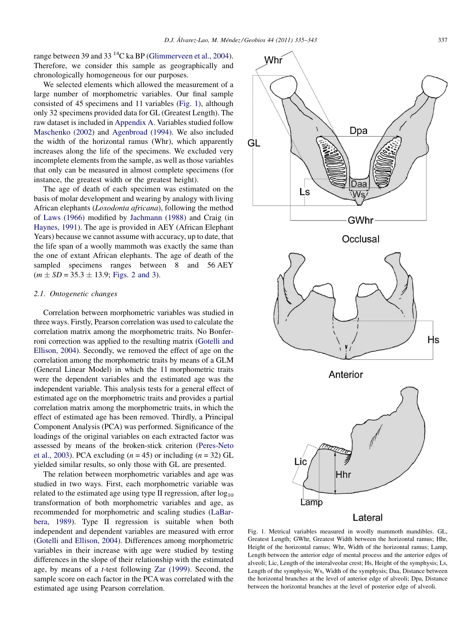range between 39 and 33<sup>14</sup>C ka BP [\(Glimmerveen et al., 2004\)](#page-8-0). Therefore, we consider this sample as geographically and chronologically homogeneous for our purposes.

We selected elements which allowed the measurement of a large number of morphometric variables. Our final sample consisted of 45 specimens and 11 variables (Fig. 1), although only 32 specimens provided data for GL (Greatest Length). The raw dataset is included in [Appendix A.](#page-8-0) Variables studied follow [Maschenko \(2002\)](#page-8-0) and [Agenbroad \(1994\).](#page-8-0) We also included the width of the horizontal ramus (Whr), which apparently increases along the life of the specimens. We excluded very incomplete elements from the sample, as well as those variables that only can be measured in almost complete specimens (for instance, the greatest width or the greatest height).

The age of death of each specimen was estimated on the basis of molar development and wearing by analogy with living African elephants (Loxodonta africana), following the method of [Laws \(1966\)](#page-8-0) modified by [Jachmann \(1988\)](#page-8-0) and Craig (in [Haynes, 1991\)](#page-8-0). The age is provided in AEY (African Elephant Years) because we cannot assume with accuracy, up to date, that the life span of a woolly mammoth was exactly the same than the one of extant African elephants. The age of death of the sampled specimens ranges between 8 and 56 AEY  $(m \pm SD = 35.3 \pm 13.9;$  [Figs. 2 and 3](#page-3-0)).

#### 2.1. Ontogenetic changes

Correlation between morphometric variables was studied in three ways. Firstly, Pearson correlation was used to calculate the correlation matrix among the morphometric traits. No Bonferroni correction was applied to the resulting matrix [\(Gotelli and](#page-8-0) [Ellison, 2004\)](#page-8-0). Secondly, we removed the effect of age on the correlation among the morphometric traits by means of a GLM (General Linear Model) in which the 11 morphometric traits were the dependent variables and the estimated age was the independent variable. This analysis tests for a general effect of estimated age on the morphometric traits and provides a partial correlation matrix among the morphometric traits, in which the effect of estimated age has been removed. Thirdly, a Principal Component Analysis (PCA) was performed. Significance of the loadings of the original variables on each extracted factor was assessed by means of the broken-stick criterion ([Peres-Neto](#page-8-0) [et al., 2003](#page-8-0)). PCA excluding  $(n = 45)$  or including  $(n = 32)$  GL yielded similar results, so only those with GL are presented.

The relation between morphometric variables and age was studied in two ways. First, each morphometric variable was related to the estimated age using type II regression, after  $log_{10}$ transformation of both morphometric variables and age, as recommended for morphometric and scaling studies [\(LaBar](#page-8-0)[bera, 1989\)](#page-8-0). Type II regression is suitable when both independent and dependent variables are measured with error ([Gotelli and Ellison, 2004](#page-8-0)). Differences among morphometric variables in their increase with age were studied by testing differences in the slope of their relationship with the estimated age, by means of a t-test following [Zar \(1999\).](#page-8-0) Second, the sample score on each factor in the PCA was correlated with the estimated age using Pearson correlation.



Fig. 1. Metrical variables measured in woolly mammoth mandibles. GL, Greatest Length; GWhr, Greatest Width between the horizontal ramus; Hhr, Height of the horizontal ramus; Whr, Width of the horizontal ramus; Lamp, Length between the anterior edge of mental process and the anterior edges of alveoli; Lic, Length of the interalveolar crest; Hs, Height of the symphysis; Ls, Length of the symphysis; Ws, Width of the symphysis; Daa, Distance between the horizontal branches at the level of anterior edge of alveoli; Dpa, Distance between the horizontal branches at the level of posterior edge of alveoli.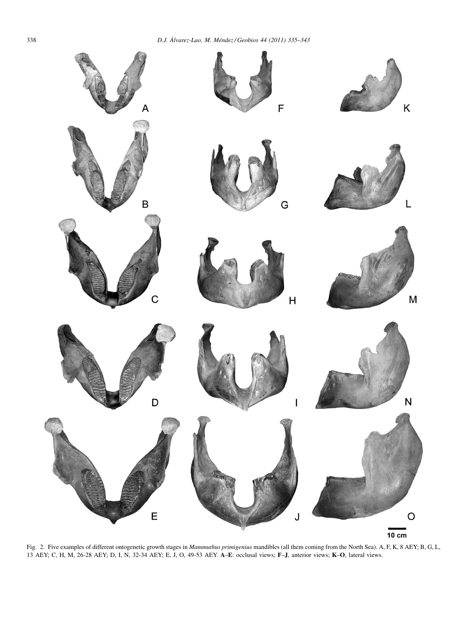<span id="page-3-0"></span>

Fig. 2. Five examples of different ontogenetic growth stages in Mammuthus primigenius mandibles (all them coming from the North Sea). A, F, K, 8 AEY; B, G, L, 13 AEY; C, H, M, 26-28 AEY; D, I, N, 32-34 AEY; E, J, O, 49-53 AEY. A–E: occlusal views; F–J, anterior views; K–O, lateral views.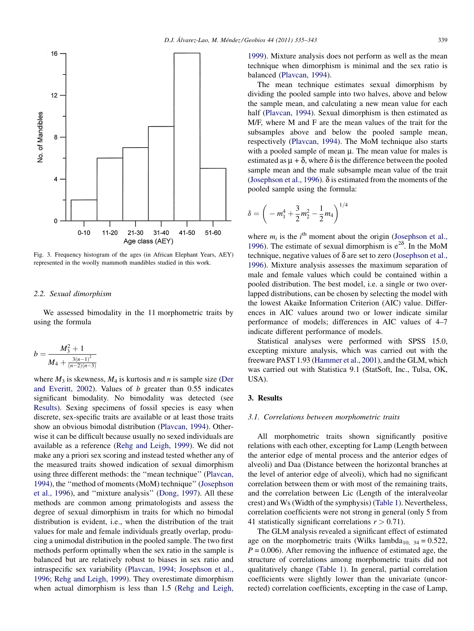<span id="page-4-0"></span>

Fig. 3. Frequency histogram of the ages (in African Elephant Years, AEY) represented in the woolly mammoth mandibles studied in this work.

#### 2.2. Sexual dimorphism

We assessed bimodality in the 11 morphometric traits by using the formula

$$
b = \frac{M_3^2 + 1}{M_4 + \frac{3(n-1)^2}{(n-2)(n-3)}}
$$

where  $M_3$  is skewness,  $M_4$  is kurtosis and n is sample size ([Der](#page-8-0) [and Everitt, 2002](#page-8-0)). Values of b greater than 0.55 indicates significant bimodality. No bimodality was detected (see Results). Sexing specimens of fossil species is easy when discrete, sex-specific traits are available or at least those traits show an obvious bimodal distribution ([Plavcan, 1994\)](#page-8-0). Otherwise it can be difficult because usually no sexed individuals are available as a reference [\(Rehg and Leigh, 1999](#page-8-0)). We did not make any a priori sex scoring and instead tested whether any of the measured traits showed indication of sexual dimorphism using three different methods: the ''mean technique'' [\(Plavcan,](#page-8-0) [1994](#page-8-0)), the ''method of moments (MoM) technique'' ([Josephson](#page-8-0) [et al., 1996](#page-8-0)), and ''mixture analysis'' [\(Dong, 1997\)](#page-8-0). All these methods are common among primatologists and assess the degree of sexual dimorphism in traits for which no bimodal distribution is evident, i.e., when the distribution of the trait values for male and female individuals greatly overlap, producing a unimodal distribution in the pooled sample. The two first methods perform optimally when the sex ratio in the sample is balanced but are relatively robust to biases in sex ratio and intraspecific sex variability ([Plavcan, 1994; Josephson et al.,](#page-8-0) [1996; Rehg and Leigh, 1999\)](#page-8-0). They overestimate dimorphism when actual dimorphism is less than 1.5 [\(Rehg and Leigh,](#page-8-0) [1999](#page-8-0)). Mixture analysis does not perform as well as the mean technique when dimorphism is minimal and the sex ratio is balanced ([Plavcan, 1994](#page-8-0)).

The mean technique estimates sexual dimorphism by dividing the pooled sample into two halves, above and below the sample mean, and calculating a new mean value for each half ([Plavcan, 1994](#page-8-0)). Sexual dimorphism is then estimated as M/F, where M and F are the mean values of the trait for the subsamples above and below the pooled sample mean, respectively ([Plavcan, 1994](#page-8-0)). The MoM technique also starts with a pooled sample of mean  $\mu$ . The mean value for males is estimated as  $\mu + \delta$ , where  $\delta$  is the difference between the pooled sample mean and the male subsample mean value of the trait ([Josephson et al., 1996](#page-8-0)).  $\delta$  is estimated from the moments of the pooled sample using the formula:

$$
\delta = \left(-m_1^4 + \frac{3}{2}m_2^2 - \frac{1}{2}m_4\right)^{1/4}
$$

where  $m_i$  is the  $i^{\text{th}}$  moment about the origin ([Josephson et al.,](#page-8-0) [1996](#page-8-0)). The estimate of sexual dimorphism is  $e^{2\delta}$ . In the MoM technique, negative values of  $\delta$  are set to zero [\(Josephson et al.,](#page-8-0) [1996](#page-8-0)). Mixture analysis assesses the maximum separation of male and female values which could be contained within a pooled distribution. The best model, i.e. a single or two overlapped distributions, can be chosen by selecting the model with the lowest Akaike Information Criterion (AIC) value. Differences in AIC values around two or lower indicate similar performance of models; differences in AIC values of 4–7 indicate different performance of models.

Statistical analyses were performed with SPSS 15.0, excepting mixture analysis, which was carried out with the freeware PAST 1.93 [\(Hammer et al., 2001](#page-8-0)), and the GLM, which was carried out with Statistica 9.1 (StatSoft, Inc., Tulsa, OK, USA).

## 3. Results

#### 3.1. Correlations between morphometric traits

All morphometric traits shown significantly positive relations with each other, excepting for Lamp (Length between the anterior edge of mental process and the anterior edges of alveoli) and Daa (Distance between the horizontal branches at the level of anterior edge of alveoli), which had no significant correlation between them or with most of the remaining traits, and the correlation between Lic (Length of the interalveolar crest) and Ws (Width of the symphysis) ([Table 1\)](#page-5-0). Nevertheless, correlation coefficients were not strong in general (only 5 from 41 statistically significant correlations  $r > 0.71$ ).

The GLM analysis revealed a significant effect of estimated age on the morphometric traits (Wilks lambda<sub>10, 34</sub> = 0.522,  $P = 0.006$ . After removing the influence of estimated age, the structure of correlations among morphometric traits did not qualitatively change ([Table 1\)](#page-5-0). In general, partial correlation coefficients were slightly lower than the univariate (uncorrected) correlation coefficients, excepting in the case of Lamp,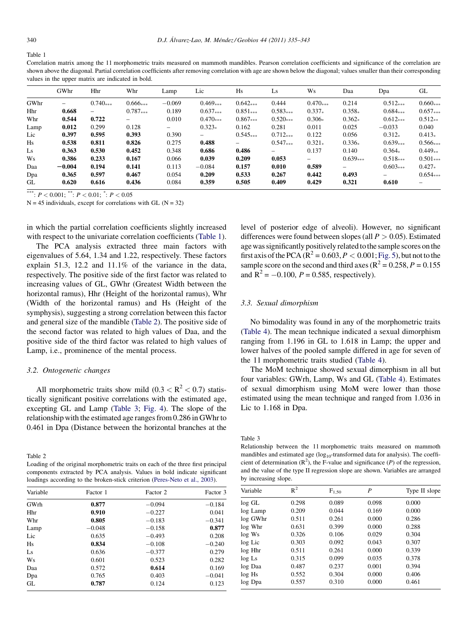<span id="page-5-0"></span>Table 1

Correlation matrix among the 11 morphometric traits measured on mammoth mandibles. Pearson correlation coefficients and significance of the correlation are shown above the diagonal. Partial correlation coefficients after removing correlation with age are shown below the diagonal; values smaller than their corresponding values in the upper matrix are indicated in bold.

|      | GWhr     | Hhr        | Whr               | Lamp                     | Lic                      | H <sub>S</sub> | Ls         | Ws         | Daa                      | Dpa        | GL                |
|------|----------|------------|-------------------|--------------------------|--------------------------|----------------|------------|------------|--------------------------|------------|-------------------|
| GWhr | -        | $0.740***$ | $0.666***$        | $-0.069$                 | $0.469***$               | $0.642***$     | 0.444      | $0.470***$ | 0.214                    | $0.512***$ | $0.660***$        |
| Hhr  | 0.668    | $-$        | $0.787***$        | 0.189                    | $0.637***$               | $0.851***$     | $0.583***$ | $0.337*$   | $0.358*$                 | $0.684***$ | $0.657***$        |
| Whr  | 0.544    | 0.722      | $\qquad \qquad -$ | 0.010                    | $0.470***$               | $0.867***$     | $0.520***$ | $0.306*$   | $0.362*$                 | $0.612***$ | $0.512**$         |
| Lamp | 0.012    | 0.299      | 0.128             | $\overline{\phantom{0}}$ | $0.323*$                 | 0.162          | 0.281      | 0.011      | 0.025                    | $-0.033$   | 0.040             |
| Lic  | 0.397    | 0.595      | 0.393             | 0.390                    | $\overline{\phantom{0}}$ | $0.545***$     | $0.712***$ | 0.122      | 0.056                    | $0.312*$   | $0.413*$          |
| Hs   | 0.538    | 0.811      | 0.826             | 0.275                    | 0.488                    | $-$            | $0.547***$ | $0.321*$   | $0.336*$                 | $0.639***$ | $0.566***$        |
| Ls   | 0.363    | 0.530      | 0.452             | 0.348                    | 0.686                    | 0.486          | -          | 0.137      | 0.140                    | $0.364*$   | $0.449**$         |
| Ws   | 0.386    | 0.233      | 0.167             | 0.066                    | 0.039                    | 0.209          | 0.053      | $ \,$      | $0.639***$               | $0.518***$ | $0.501***$        |
| Daa  | $-0.004$ | 0.194      | 0.141             | 0.113                    | $-0.084$                 | 0.157          | 0.010      | 0.589      | $\overline{\phantom{0}}$ | $0.603***$ | $0.427*$          |
| Dpa  | 0.365    | 0.597      | 0.467             | 0.054                    | 0.209                    | 0.533          | 0.267      | 0.442      | 0.493                    |            | $0.654***$        |
| GL   | 0.620    | 0.616      | 0.436             | 0.084                    | 0.359                    | 0.505          | 0.409      | 0.429      | 0.321                    | 0.610      | $\qquad \qquad -$ |

\*\*\*:  $P < 0.001$ ; \*\*:  $P < 0.01$ ; \*:  $P < 0.05$ 

 $N = 45$  individuals, except for correlations with GL ( $N = 32$ )

in which the partial correlation coefficients slightly increased with respect to the univariate correlation coefficients (Table 1).

The PCA analysis extracted three main factors with eigenvalues of 5.64, 1.34 and 1.22, respectively. These factors explain 51.3, 12.2 and 11.1% of the variance in the data, respectively. The positive side of the first factor was related to increasing values of GL, GWhr (Greatest Width between the horizontal ramus), Hhr (Height of the horizontal ramus), Whr (Width of the horizontal ramus) and Hs (Height of the symphysis), suggesting a strong correlation between this factor and general size of the mandible (Table 2). The positive side of the second factor was related to high values of Daa, and the positive side of the third factor was related to high values of Lamp, i.e., prominence of the mental process.

## 3.2. Ontogenetic changes

All morphometric traits show mild  $(0.3 < R^2 < 0.7)$  statistically significant positive correlations with the estimated age, excepting GL and Lamp (Table 3; [Fig. 4\)](#page-6-0). The slope of the relationship with the estimated age ranges from 0.286 in GWhr to 0.461 in Dpa (Distance between the horizontal branches at the

Table 2

Loading of the original morphometric traits on each of the three first principal components extracted by PCA analysis. Values in bold indicate significant loadings according to the broken-stick criterion ([Peres-Neto et al., 2003](#page-8-0)).

| Variable       | Factor 1 | Factor 2 | Factor 3 |
|----------------|----------|----------|----------|
| GWrh           | 0.877    | $-0.094$ | $-0.184$ |
| Hhr            | 0.910    | $-0.227$ | 0.041    |
| Whr            | 0.805    | $-0.183$ | $-0.341$ |
| Lamp           | $-0.048$ | $-0.158$ | 0.877    |
| Lic            | 0.635    | $-0.493$ | 0.208    |
| H <sub>S</sub> | 0.834    | $-0.108$ | $-0.240$ |
| Ls             | 0.636    | $-0.377$ | 0.279    |
| Ws             | 0.601    | 0.523    | 0.282    |
| Daa            | 0.572    | 0.614    | 0.169    |
| Dpa            | 0.765    | 0.403    | $-0.041$ |
| GL             | 0.787    | 0.124    | 0.123    |

level of posterior edge of alveoli). However, no significant differences were found between slopes (all  $P > 0.05$ ). Estimated agewas significantly positively related to the sample scores on the first axis of the PCA ( $\mathbb{R}^2 = 0.603$ ,  $P < 0.001$ ; [Fig. 5](#page-6-0)), but not to the sample score on the second and third axes ( $R^2 = 0.258$ ,  $P = 0.155$ ) and  $R^2 = -0.100$ ,  $P = 0.585$ , respectively).

## 3.3. Sexual dimorphism

No bimodality was found in any of the morphometric traits [\(Table 4](#page-6-0)). The mean technique indicated a sexual dimorphism ranging from 1.196 in GL to 1.618 in Lamp; the upper and lower halves of the pooled sample differed in age for seven of the 11 morphometric traits studied ([Table 4](#page-6-0)).

The MoM technique showed sexual dimorphism in all but four variables: GWrh, Lamp, Ws and GL [\(Table 4](#page-6-0)). Estimates of sexual dimorphism using MoM were lower than those estimated using the mean technique and ranged from 1.036 in Lic to 1.168 in Dpa.

Table 3

Relationship between the 11 morphometric traits measured on mammoth mandibles and estimated age  $(log_{10}$ -transformed data for analysis). The coefficient of determination  $(R^2)$ , the F-value and significance  $(P)$  of the regression, and the value of the type II regression slope are shown. Variables are arranged by increasing slope.

| Variable  | $R^2$ | $F_{1,50}$ | P     | Type II slope |  |  |
|-----------|-------|------------|-------|---------------|--|--|
| log GL    | 0.298 | 0.089      | 0.098 | 0.000         |  |  |
| log Lamp  | 0.209 | 0.044      | 0.169 | 0.000         |  |  |
| log GWhr  | 0.511 | 0.261      | 0.000 | 0.286         |  |  |
| log Whr   | 0.631 | 0.399      | 0.000 | 0.288         |  |  |
| $log$ Ws  | 0.326 | 0.106      | 0.029 | 0.304         |  |  |
| log Lic   | 0.303 | 0.092      | 0.043 | 0.307         |  |  |
| log Hhr   | 0.511 | 0.261      | 0.000 | 0.339         |  |  |
| $log\;Ls$ | 0.315 | 0.099      | 0.035 | 0.378         |  |  |
| log Daa   | 0.487 | 0.237      | 0.001 | 0.394         |  |  |
| log Hs    | 0.552 | 0.304      | 0.000 | 0.406         |  |  |
| log Dpa   | 0.557 | 0.310      | 0.000 | 0.461         |  |  |
|           |       |            |       |               |  |  |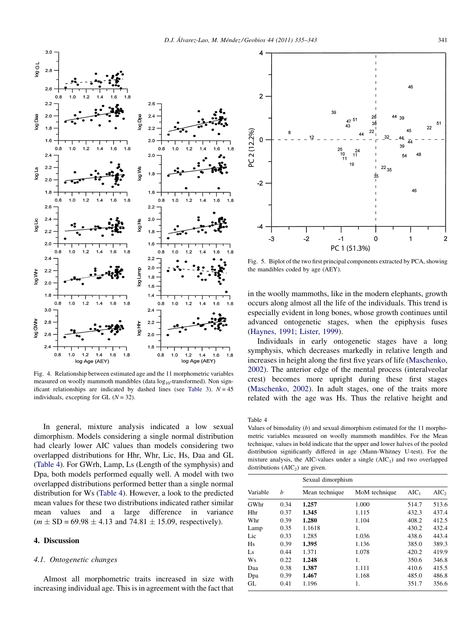<span id="page-6-0"></span>

Fig. 4. Relationship between estimated age and the 11 morphometric variables measured on woolly mammoth mandibles (data  $log_{10}$ -transformed). Non sign-ificant relationships are indicated by dashed lines (see [Table 3\)](#page-5-0).  $N = 45$ individuals, excepting for GL  $(N = 32)$ .

In general, mixture analysis indicated a low sexual dimorphism. Models considering a single normal distribution had clearly lower AIC values than models considering two overlapped distributions for Hhr, Whr, Lic, Hs, Daa and GL (Table 4). For GWrh, Lamp, Ls (Length of the symphysis) and Dpa, both models performed equally well. A model with two overlapped distributions performed better than a single normal distribution for Ws (Table 4). However, a look to the predicted mean values for these two distributions indicated rather similar mean values and a large difference in variance  $(m \pm SD = 69.98 \pm 4.13 \text{ and } 74.81 \pm 15.09,$  respectively).

## 4. Discussion

## 4.1. Ontogenetic changes

Almost all morphometric traits increased in size with increasing individual age. This is in agreement with the fact that



Fig. 5. Biplot of the two first principal components extracted by PCA, showing the mandibles coded by age (AEY).

in the woolly mammoths, like in the modern elephants, growth occurs along almost all the life of the individuals. This trend is especially evident in long bones, whose growth continues until advanced ontogenetic stages, when the epiphysis fuses ([Haynes, 1991; Lister, 1999\)](#page-8-0).

Individuals in early ontogenetic stages have a long symphysis, which decreases markedly in relative length and increases in height along the first five years of life [\(Maschenko,](#page-8-0) [2002](#page-8-0)). The anterior edge of the mental process (interalveolar crest) becomes more upright during these first stages ([Maschenko, 2002](#page-8-0)). In adult stages, one of the traits more related with the age was Hs. Thus the relative height and

Table 4

Values of bimodality  $(b)$  and sexual dimorphism estimated for the 11 morphometric variables measured on woolly mammoth mandibles. For the Mean technique, values in bold indicate that the upper and lower halves of the pooled distribution significantly differed in age (Mann-Whitney U-test). For the mixture analysis, the AIC-values under a single  $(AIC<sub>1</sub>)$  and two overlapped distributions  $(AIC<sub>2</sub>)$  are given.

|                |      | Sexual dimorphism |               |         |         |  |  |  |
|----------------|------|-------------------|---------------|---------|---------|--|--|--|
| Variable       | h    | Mean technique    | MoM technique | $AIC_1$ | $AIC_2$ |  |  |  |
| GWhr           | 0.34 | 1.257             | 1.000         | 514.7   | 513.6   |  |  |  |
| Hhr            | 0.37 | 1.345             | 1.115         | 432.3   | 437.4   |  |  |  |
| Whr            | 0.39 | 1.280             | 1.104         | 408.2   | 412.5   |  |  |  |
| Lamp           | 0.35 | 1.1618            | 1.            | 430.2   | 432.4   |  |  |  |
| Lic            | 0.33 | 1.285             | 1.036         | 438.6   | 443.4   |  |  |  |
| H <sub>S</sub> | 0.39 | 1.395             | 1.136         | 385.0   | 389.3   |  |  |  |
| Ls             | 0.44 | 1.371             | 1.078         | 420.2   | 419.9   |  |  |  |
| Ws             | 0.22 | 1.248             | 1.            | 350.6   | 346.8   |  |  |  |
| Daa            | 0.38 | 1.387             | 1.111         | 410.6   | 415.5   |  |  |  |
| Dpa            | 0.39 | 1.467             | 1.168         | 485.0   | 486.8   |  |  |  |
| GL             | 0.41 | 1.196             | 1.            | 351.7   | 356.6   |  |  |  |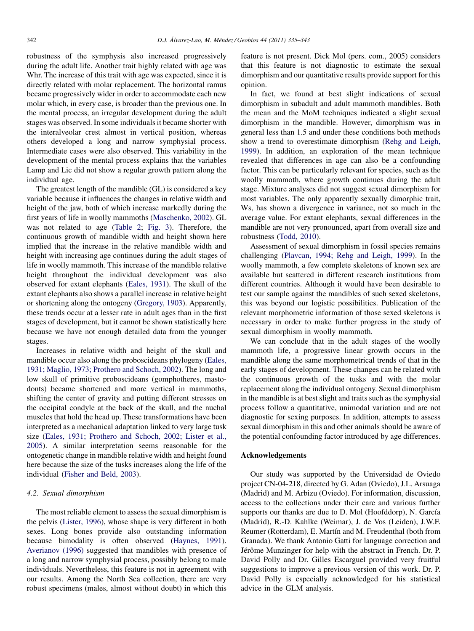robustness of the symphysis also increased progressively during the adult life. Another trait highly related with age was Whr. The increase of this trait with age was expected, since it is directly related with molar replacement. The horizontal ramus became progressively wider in order to accommodate each new molar which, in every case, is broader than the previous one. In the mental process, an irregular development during the adult stages was observed. In some individuals it became shorter with the interalveolar crest almost in vertical position, whereas others developed a long and narrow symphysial process. Intermediate cases were also observed. This variability in the development of the mental process explains that the variables Lamp and Lic did not show a regular growth pattern along the individual age.

The greatest length of the mandible (GL) is considered a key variable because it influences the changes in relative width and height of the jaw, both of which increase markedly during the first years of life in woolly mammoths [\(Maschenko, 2002](#page-8-0)). GL was not related to age [\(Table 2](#page-5-0); [Fig. 3\)](#page-4-0). Therefore, the continuous growth of mandible width and height shown here implied that the increase in the relative mandible width and height with increasing age continues during the adult stages of life in woolly mammoth. This increase of the mandible relative height throughout the individual development was also observed for extant elephants [\(Eales, 1931](#page-8-0)). The skull of the extant elephants also shows a parallel increase in relative height or shortening along the ontogeny ([Gregory, 1903](#page-8-0)). Apparently, these trends occur at a lesser rate in adult ages than in the first stages of development, but it cannot be shown statistically here because we have not enough detailed data from the younger stages.

Increases in relative width and height of the skull and mandible occur also along the proboscideans phylogeny ([Eales,](#page-8-0) [1931; Maglio, 1973; Prothero and Schoch, 2002\)](#page-8-0). The long and low skull of primitive proboscideans (gomphotheres, mastodonts) became shortened and more vertical in mammoths, shifting the center of gravity and putting different stresses on the occipital condyle at the back of the skull, and the nuchal muscles that hold the head up. These transformations have been interpreted as a mechanical adaptation linked to very large tusk size ([Eales, 1931; Prothero and Schoch, 2002; Lister et al.,](#page-8-0) [2005\)](#page-8-0). A similar interpretation seems reasonable for the ontogenetic change in mandible relative width and height found here because the size of the tusks increases along the life of the individual ([Fisher and Beld, 2003\)](#page-8-0).

## 4.2. Sexual dimorphism

The most reliable element to assess the sexual dimorphism is the pelvis ([Lister, 1996](#page-8-0)), whose shape is very different in both sexes. Long bones provide also outstanding information because bimodality is often observed [\(Haynes, 1991\)](#page-8-0). [Averianov \(1996\)](#page-8-0) suggested that mandibles with presence of a long and narrow symphysial process, possibly belong to male individuals. Nevertheless, this feature is not in agreement with our results. Among the North Sea collection, there are very robust specimens (males, almost without doubt) in which this feature is not present. Dick Mol (pers. com., 2005) considers that this feature is not diagnostic to estimate the sexual dimorphism and our quantitative results provide support for this opinion.

In fact, we found at best slight indications of sexual dimorphism in subadult and adult mammoth mandibles. Both the mean and the MoM techniques indicated a slight sexual dimorphism in the mandible. However, dimorphism was in general less than 1.5 and under these conditions both methods show a trend to overestimate dimorphism ([Rehg and Leigh,](#page-8-0) [1999\)](#page-8-0). In addition, an exploration of the mean technique revealed that differences in age can also be a confounding factor. This can be particularly relevant for species, such as the woolly mammoth, where growth continues during the adult stage. Mixture analyses did not suggest sexual dimorphism for most variables. The only apparently sexually dimorphic trait, Ws, has shown a divergence in variance, not so much in the average value. For extant elephants, sexual differences in the mandible are not very pronounced, apart from overall size and robustness [\(Todd, 2010\)](#page-8-0).

Assessment of sexual dimorphism in fossil species remains challenging [\(Plavcan, 1994; Rehg and Leigh, 1999](#page-8-0)). In the woolly mammoth, a few complete skeletons of known sex are available but scattered in different research institutions from different countries. Although it would have been desirable to test our sample against the mandibles of such sexed skeletons, this was beyond our logistic possibilities. Publication of the relevant morphometric information of those sexed skeletons is necessary in order to make further progress in the study of sexual dimorphism in woolly mammoth.

We can conclude that in the adult stages of the woolly mammoth life, a progressive linear growth occurs in the mandible along the same morphometrical trends of that in the early stages of development. These changes can be related with the continuous growth of the tusks and with the molar replacement along the individual ontogeny. Sexual dimorphism in the mandible is at best slight and traits such as the symphysial process follow a quantitative, unimodal variation and are not diagnostic for sexing purposes. In addition, attempts to assess sexual dimorphism in this and other animals should be aware of the potential confounding factor introduced by age differences.

#### Acknowledgements

Our study was supported by the Universidad de Oviedo project CN-04-218, directed by G. Adan (Oviedo), J.L. Arsuaga (Madrid) and M. Arbizu (Oviedo). For information, discussion, access to the collections under their care and various further supports our thanks are due to D. Mol (Hoofddorp), N. García (Madrid), R.-D. Kahlke (Weimar), J. de Vos (Leiden), J.W.F. Reumer (Rotterdam), E. Martín and M. Freudenthal (both from Granada). We thank Antonio Gatti for language correction and Jérôme Munzinger for help with the abstract in French. Dr. P. David Polly and Dr. Gilles Escarguel provided very fruitful suggestions to improve a previous version of this work. Dr. P. David Polly is especially acknowledged for his statistical advice in the GLM analysis.